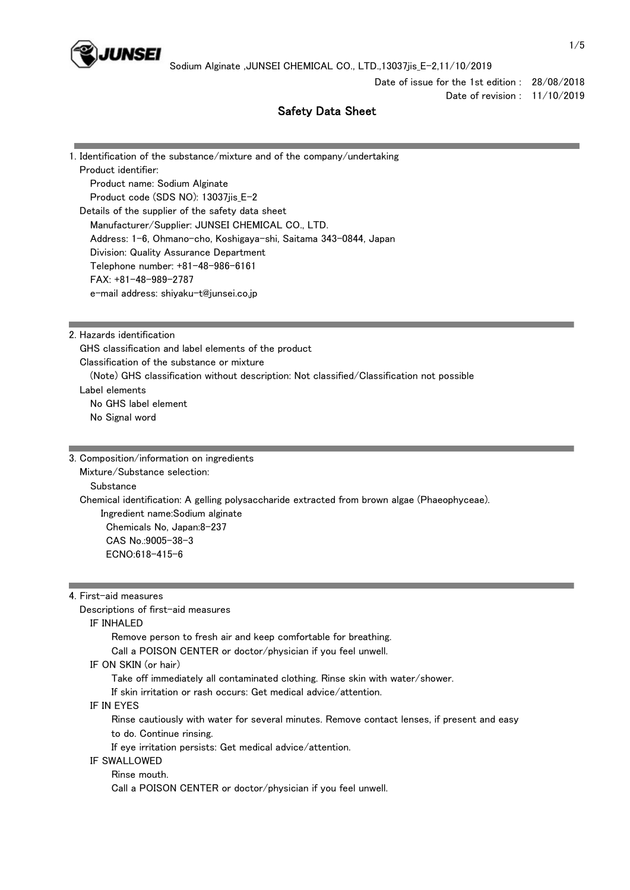

Date of issue for the 1st edition : 28/08/2018 Date of revision : 11/10/2019

# Safety Data Sheet

| 1. Identification of the substance/mixture and of the company/undertaking |
|---------------------------------------------------------------------------|
| Product identifier:                                                       |
| Product name: Sodium Alginate                                             |
| Product code (SDS NO): 13037jis_E-2                                       |
| Details of the supplier of the safety data sheet                          |
| Manufacturer/Supplier: JUNSEI CHEMICAL CO., LTD.                          |
| Address: 1-6, Ohmano-cho, Koshigaya-shi, Saitama 343-0844, Japan          |
| Division: Quality Assurance Department                                    |
| Telephone number: +81-48-986-6161                                         |
| $FAX: +81-48-989-2787$                                                    |
| e-mail address: shiyaku-t@junsei.co.jp                                    |
|                                                                           |
|                                                                           |

2. Hazards identification

 GHS classification and label elements of the product Classification of the substance or mixture (Note) GHS classification without description: Not classified/Classification not possible Label elements No GHS label element No Signal word

3. Composition/information on ingredients Mixture/Substance selection: **Substance**  Chemical identification: A gelling polysaccharide extracted from brown algae (Phaeophyceae). Ingredient name:Sodium alginate Chemicals No, Japan:8-237 CAS No.:9005-38-3

ECNO:618-415-6

4. First-aid measures

Descriptions of first-aid measures

IF INHALED

Remove person to fresh air and keep comfortable for breathing.

Call a POISON CENTER or doctor/physician if you feel unwell.

IF ON SKIN (or hair)

Take off immediately all contaminated clothing. Rinse skin with water/shower.

If skin irritation or rash occurs: Get medical advice/attention.

IF IN EYES

 Rinse cautiously with water for several minutes. Remove contact lenses, if present and easy to do. Continue rinsing.

If eye irritation persists: Get medical advice/attention.

## IF SWALLOWED

Rinse mouth.

Call a POISON CENTER or doctor/physician if you feel unwell.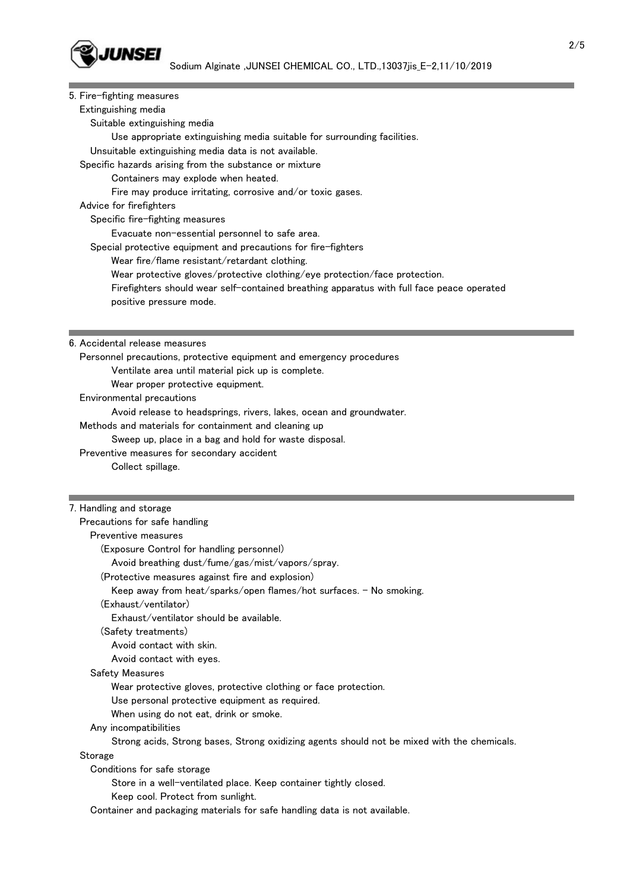

| 5. Fire-fighting measures                                                                              |
|--------------------------------------------------------------------------------------------------------|
| Extinguishing media                                                                                    |
| Suitable extinguishing media                                                                           |
| Use appropriate extinguishing media suitable for surrounding facilities.                               |
| Unsuitable extinguishing media data is not available.                                                  |
| Specific hazards arising from the substance or mixture                                                 |
| Containers may explode when heated.                                                                    |
| Fire may produce irritating, corrosive and/or toxic gases.                                             |
| Advice for firefighters                                                                                |
| Specific fire-fighting measures                                                                        |
| Evacuate non-essential personnel to safe area.                                                         |
| Special protective equipment and precautions for fire-fighters                                         |
| Wear fire/flame resistant/retardant clothing.                                                          |
| Wear protective gloves/protective clothing/eye protection/face protection.                             |
| Firefighters should wear self-contained breathing apparatus with full face peace operated              |
| positive pressure mode.                                                                                |
|                                                                                                        |
|                                                                                                        |
| 6. Accidental release measures                                                                         |
| Personnel precautions, protective equipment and emergency procedures                                   |
| Ventilate area until material pick up is complete.                                                     |
| Wear proper protective equipment.                                                                      |
| Environmental precautions                                                                              |
| Avoid release to headsprings, rivers, lakes, ocean and groundwater.                                    |
| Methods and materials for containment and cleaning up                                                  |
| Sweep up, place in a bag and hold for waste disposal.                                                  |
| Preventive measures for secondary accident                                                             |
| Collect spillage.                                                                                      |
|                                                                                                        |
| 7. Handling and storage                                                                                |
| Precautions for safe handling                                                                          |
| Preventive measures                                                                                    |
| (Exposure Control for handling personnel)                                                              |
| Avoid breathing dust/fume/gas/mist/vapors/spray.                                                       |
| (Protective measures against fire and explosion)                                                       |
| Keep away from heat/sparks/open flames/hot surfaces. - No smoking.                                     |
| (Exhaust/ventilator)                                                                                   |
| Exhaust/ventilator should be available.                                                                |
| (Safety treatments)                                                                                    |
| Avoid contact with skin.                                                                               |
| Avoid contact with eyes.                                                                               |
| Safety Measures                                                                                        |
| Wear protective gloves, protective clothing or face protection.                                        |
|                                                                                                        |
| Use personal protective equipment as required.                                                         |
| When using do not eat, drink or smoke.                                                                 |
| Any incompatibilities                                                                                  |
| Strong acids, Strong bases, Strong oxidizing agents should not be mixed with the chemicals.<br>Storage |
| Conditions for safe storage                                                                            |
|                                                                                                        |

Store in a well-ventilated place. Keep container tightly closed.

Keep cool. Protect from sunlight.

Container and packaging materials for safe handling data is not available.

and the control of the control of the control of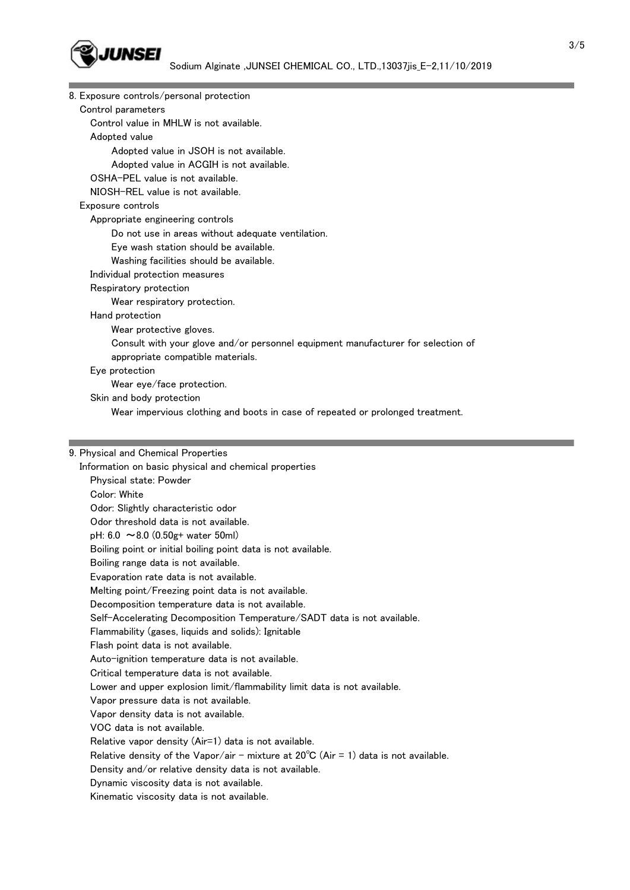

| 8. Exposure controls/personal protection                                         |  |
|----------------------------------------------------------------------------------|--|
| Control parameters                                                               |  |
| Control value in MHLW is not available.                                          |  |
| Adopted value                                                                    |  |
| Adopted value in JSOH is not available.                                          |  |
| Adopted value in ACGIH is not available.                                         |  |
| OSHA-PEL value is not available.                                                 |  |
| NIOSH-REL value is not available.                                                |  |
| Exposure controls                                                                |  |
| Appropriate engineering controls                                                 |  |
| Do not use in areas without adequate ventilation.                                |  |
| Eye wash station should be available.                                            |  |
| Washing facilities should be available.                                          |  |
| Individual protection measures                                                   |  |
| Respiratory protection                                                           |  |
| Wear respiratory protection.                                                     |  |
| Hand protection                                                                  |  |
| Wear protective gloves.                                                          |  |
| Consult with your glove and/or personnel equipment manufacturer for selection of |  |
| appropriate compatible materials.                                                |  |
| Eye protection                                                                   |  |
| Wear eye/face protection.                                                        |  |
| Skin and body protection                                                         |  |
| Wear impervious clothing and boots in case of repeated or prolonged treatment.   |  |
|                                                                                  |  |

#### 9. Physical and Chemical Properties

 Information on basic physical and chemical properties Physical state: Powder Color: White Odor: Slightly characteristic odor Odor threshold data is not available. pH: 6.0 ~8.0 (0.50g+ water 50ml) Boiling point or initial boiling point data is not available. Boiling range data is not available. Evaporation rate data is not available. Melting point/Freezing point data is not available. Decomposition temperature data is not available. Self-Accelerating Decomposition Temperature/SADT data is not available. Flammability (gases, liquids and solids): Ignitable Flash point data is not available. Auto-ignition temperature data is not available. Critical temperature data is not available. Lower and upper explosion limit/flammability limit data is not available. Vapor pressure data is not available. Vapor density data is not available. VOC data is not available. Relative vapor density (Air=1) data is not available. Relative density of the Vapor/air - mixture at  $20^{\circ}C$  (Air = 1) data is not available. Density and/or relative density data is not available. Dynamic viscosity data is not available. Kinematic viscosity data is not available.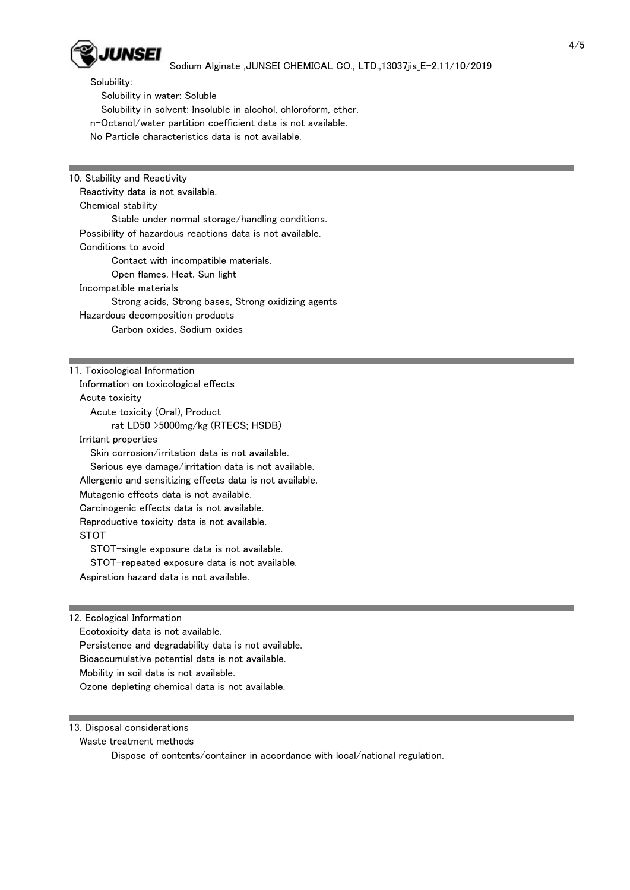

Solubility:

Solubility in water: Soluble

Solubility in solvent: Insoluble in alcohol, chloroform, ether.

n-Octanol/water partition coefficient data is not available.

No Particle characteristics data is not available.

10. Stability and Reactivity Reactivity data is not available. Chemical stability Stable under normal storage/handling conditions. Possibility of hazardous reactions data is not available. Conditions to avoid Contact with incompatible materials. Open flames. Heat. Sun light Incompatible materials Strong acids, Strong bases, Strong oxidizing agents Hazardous decomposition products Carbon oxides, Sodium oxides

#### 11. Toxicological Information

 Information on toxicological effects Acute toxicity Acute toxicity (Oral), Product rat LD50 >5000mg/kg (RTECS; HSDB) Irritant properties Skin corrosion/irritation data is not available. Serious eye damage/irritation data is not available. Allergenic and sensitizing effects data is not available. Mutagenic effects data is not available. Carcinogenic effects data is not available. Reproductive toxicity data is not available. **STOT** STOT-single exposure data is not available.

 STOT-repeated exposure data is not available. Aspiration hazard data is not available.

12. Ecological Information Ecotoxicity data is not available. Persistence and degradability data is not available. Bioaccumulative potential data is not available. Mobility in soil data is not available. Ozone depleting chemical data is not available.

13. Disposal considerations

Waste treatment methods

Dispose of contents/container in accordance with local/national regulation.